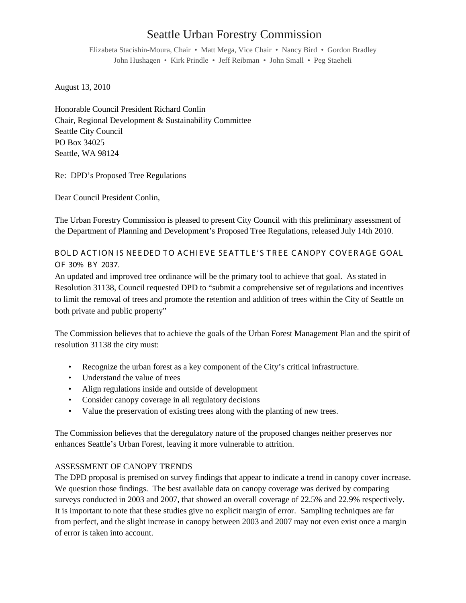# Seattle Urban Forestry Commission

Elizabeta Stacishin-Moura, Chair • Matt Mega, Vice Chair • Nancy Bird • Gordon Bradley John Hushagen • Kirk Prindle • Jeff Reibman • John Small • Peg Staeheli

August 13, 2010

Honorable Council President Richard Conlin Chair, Regional Development & Sustainability Committee Seattle City Council PO Box 34025 Seattle, WA 98124

Re: DPD's Proposed Tree Regulations

Dear Council President Conlin,

The Urban Forestry Commission is pleased to present City Council with this preliminary assessment of the Department of Planning and Development's Proposed Tree Regulations, released July 14th 2010.

BOL D ACTION IS NEEDED TO ACHIEVE SEATTLE'S TREE CANOPY COVERAGE GOAL OF 30% B Y 2037.

An updated and improved tree ordinance will be the primary tool to achieve that goal. As stated in Resolution 31138, Council requested DPD to "submit a comprehensive set of regulations and incentives to limit the removal of trees and promote the retention and addition of trees within the City of Seattle on both private and public property"

The Commission believes that to achieve the goals of the Urban Forest Management Plan and the spirit of resolution 31138 the city must:

- Recognize the urban forest as a key component of the City's critical infrastructure.
- Understand the value of trees
- Align regulations inside and outside of development
- Consider canopy coverage in all regulatory decisions
- Value the preservation of existing trees along with the planting of new trees.

The Commission believes that the deregulatory nature of the proposed changes neither preserves nor enhances Seattle's Urban Forest, leaving it more vulnerable to attrition.

# ASSESSMENT OF CANOPY TRENDS

The DPD proposal is premised on survey findings that appear to indicate a trend in canopy cover increase. We question those findings. The best available data on canopy coverage was derived by comparing surveys conducted in 2003 and 2007, that showed an overall coverage of 22.5% and 22.9% respectively. It is important to note that these studies give no explicit margin of error. Sampling techniques are far from perfect, and the slight increase in canopy between 2003 and 2007 may not even exist once a margin of error is taken into account.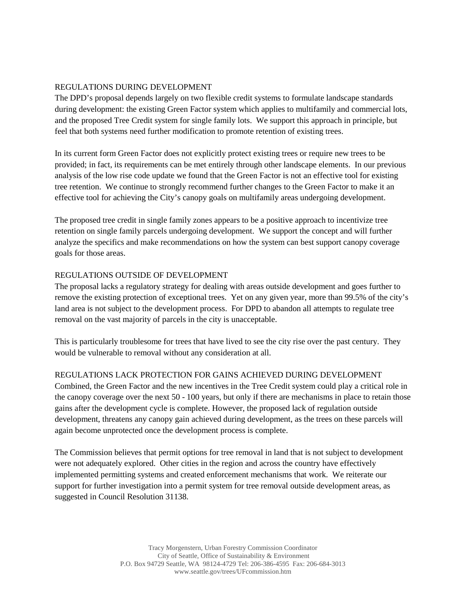### REGULATIONS DURING DEVELOPMENT

The DPD's proposal depends largely on two flexible credit systems to formulate landscape standards during development: the existing Green Factor system which applies to multifamily and commercial lots, and the proposed Tree Credit system for single family lots. We support this approach in principle, but feel that both systems need further modification to promote retention of existing trees.

In its current form Green Factor does not explicitly protect existing trees or require new trees to be provided; in fact, its requirements can be met entirely through other landscape elements. In our previous analysis of the low rise code update we found that the Green Factor is not an effective tool for existing tree retention. We continue to strongly recommend further changes to the Green Factor to make it an effective tool for achieving the City's canopy goals on multifamily areas undergoing development.

The proposed tree credit in single family zones appears to be a positive approach to incentivize tree retention on single family parcels undergoing development. We support the concept and will further analyze the specifics and make recommendations on how the system can best support canopy coverage goals for those areas.

#### REGULATIONS OUTSIDE OF DEVELOPMENT

The proposal lacks a regulatory strategy for dealing with areas outside development and goes further to remove the existing protection of exceptional trees. Yet on any given year, more than 99.5% of the city's land area is not subject to the development process. For DPD to abandon all attempts to regulate tree removal on the vast majority of parcels in the city is unacceptable.

This is particularly troublesome for trees that have lived to see the city rise over the past century. They would be vulnerable to removal without any consideration at all.

# REGULATIONS LACK PROTECTION FOR GAINS ACHIEVED DURING DEVELOPMENT

Combined, the Green Factor and the new incentives in the Tree Credit system could play a critical role in the canopy coverage over the next 50 - 100 years, but only if there are mechanisms in place to retain those gains after the development cycle is complete. However, the proposed lack of regulation outside development, threatens any canopy gain achieved during development, as the trees on these parcels will again become unprotected once the development process is complete.

The Commission believes that permit options for tree removal in land that is not subject to development were not adequately explored. Other cities in the region and across the country have effectively implemented permitting systems and created enforcement mechanisms that work. We reiterate our support for further investigation into a permit system for tree removal outside development areas, as suggested in Council Resolution 31138.